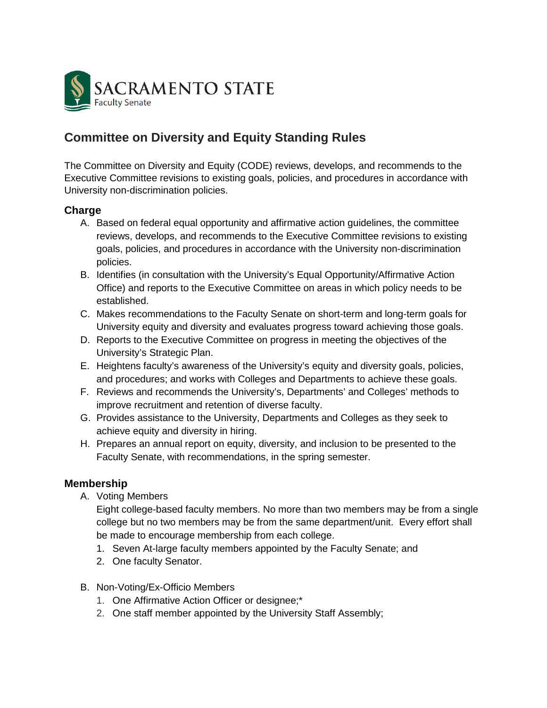

# **Committee on Diversity and Equity Standing Rules**

The Committee on Diversity and Equity (CODE) reviews, develops, and recommends to the Executive Committee revisions to existing goals, policies, and procedures in accordance with University non-discrimination policies.

#### **Charge**

- A. Based on federal equal opportunity and affirmative action guidelines, the committee reviews, develops, and recommends to the Executive Committee revisions to existing goals, policies, and procedures in accordance with the University non-discrimination policies.
- B. Identifies (in consultation with the University's Equal Opportunity/Affirmative Action Office) and reports to the Executive Committee on areas in which policy needs to be established.
- C. Makes recommendations to the Faculty Senate on short-term and long-term goals for University equity and diversity and evaluates progress toward achieving those goals.
- D. Reports to the Executive Committee on progress in meeting the objectives of the University's Strategic Plan.
- E. Heightens faculty's awareness of the University's equity and diversity goals, policies, and procedures; and works with Colleges and Departments to achieve these goals.
- F. Reviews and recommends the University's, Departments' and Colleges' methods to improve recruitment and retention of diverse faculty.
- G. Provides assistance to the University, Departments and Colleges as they seek to achieve equity and diversity in hiring.
- H. Prepares an annual report on equity, diversity, and inclusion to be presented to the Faculty Senate, with recommendations, in the spring semester.

### **Membership**

A. Voting Members

Eight college-based faculty members. No more than two members may be from a single college but no two members may be from the same department/unit. Every effort shall be made to encourage membership from each college.

- 1. Seven At-large faculty members appointed by the Faculty Senate; and
- 2. One faculty Senator.
- B. Non-Voting/Ex-Officio Members
	- 1. One Affirmative Action Officer or designee;\*
	- 2. One staff member appointed by the University Staff Assembly;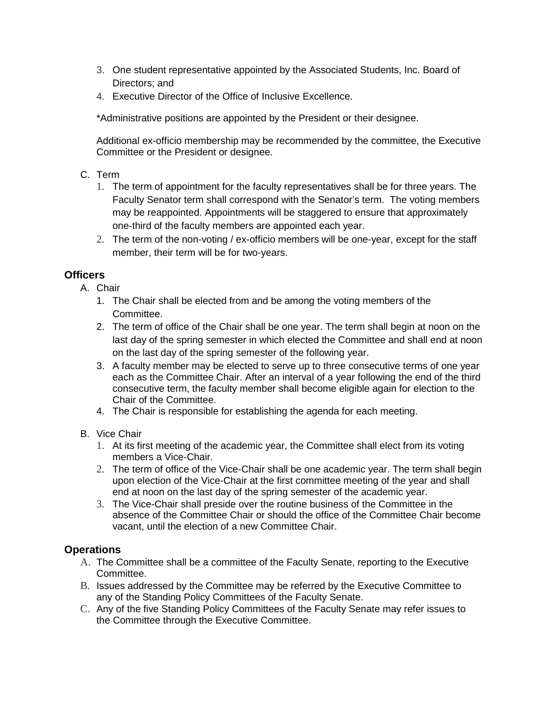- 3. One student representative appointed by the Associated Students, Inc. Board of Directors; and
- 4. Executive Director of the Office of Inclusive Excellence.

\*Administrative positions are appointed by the President or their designee.

Additional ex-officio membership may be recommended by the committee, the Executive Committee or the President or designee.

### C. Term

- 1. The term of appointment for the faculty representatives shall be for three years. The Faculty Senator term shall correspond with the Senator's term. The voting members may be reappointed. Appointments will be staggered to ensure that approximately one-third of the faculty members are appointed each year.
- 2. The term of the non-voting / ex-officio members will be one-year, except for the staff member, their term will be for two-years.

### **Officers**

- A. Chair
	- 1. The Chair shall be elected from and be among the voting members of the Committee.
	- 2. The term of office of the Chair shall be one year. The term shall begin at noon on the last day of the spring semester in which elected the Committee and shall end at noon on the last day of the spring semester of the following year.
	- 3. A faculty member may be elected to serve up to three consecutive terms of one year each as the Committee Chair. After an interval of a year following the end of the third consecutive term, the faculty member shall become eligible again for election to the Chair of the Committee.
	- 4. The Chair is responsible for establishing the agenda for each meeting.
- B. Vice Chair
	- 1. At its first meeting of the academic year, the Committee shall elect from its voting members a Vice-Chair.
	- 2. The term of office of the Vice-Chair shall be one academic year. The term shall begin upon election of the Vice-Chair at the first committee meeting of the year and shall end at noon on the last day of the spring semester of the academic year.
	- 3. The Vice-Chair shall preside over the routine business of the Committee in the absence of the Committee Chair or should the office of the Committee Chair become vacant, until the election of a new Committee Chair.

### **Operations**

- A. The Committee shall be a committee of the Faculty Senate, reporting to the Executive Committee.
- B. Issues addressed by the Committee may be referred by the Executive Committee to any of the Standing Policy Committees of the Faculty Senate.
- C. Any of the five Standing Policy Committees of the Faculty Senate may refer issues to the Committee through the Executive Committee.